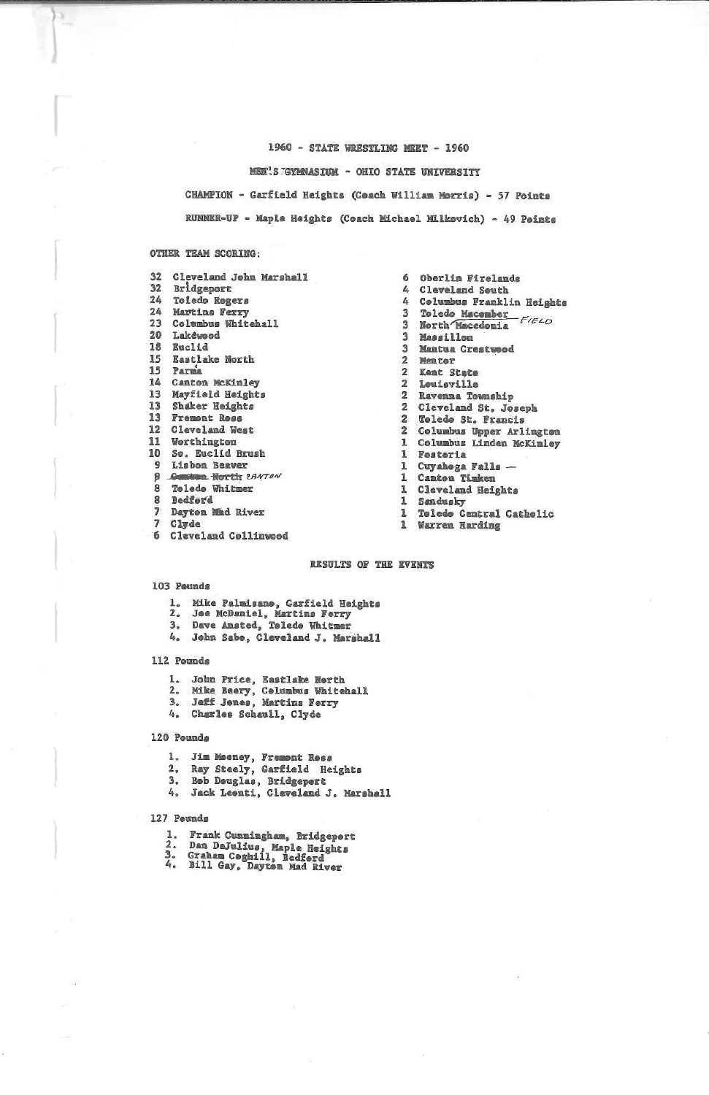1960 - STATE WRESTLING MEET - 1960

MEN'S GYMNASIUM - ONIO STATE UNIVERSITY

CHAMPION - Garfield Heights (Ceach William Horris) - 57 Points RUNNER-UP - Maple Heights (Coach Michael Milkovich) - 49 Points

### OTHER TEAM SCORING:

 $\mathbf{S}_{\perp}$ 

| 32 | Cleveland John Marshall          |
|----|----------------------------------|
| 32 | Bridgeport                       |
| 24 | Toledo Regers                    |
| 24 | Martins Ferry                    |
| 23 | Columbus Whitehall               |
| 20 | Lakewood                         |
| 18 | Euclid                           |
| 15 | Eastlake North                   |
| 15 | Parma                            |
| 14 | Canton McKinley                  |
| 13 | Mayfield Heights                 |
| 13 | Shaker Heights                   |
|    | 13 Fremont Ross                  |
| 12 | Cleveland West                   |
| 11 | Worthington                      |
| 10 | So. Euclid Brush                 |
|    | 9 Lisbon Beaver                  |
|    | <b>9</b> Commission Horth CANTON |
|    | 8 Telede Whitmer                 |
|    | 8 Bedford                        |
|    | 7 Dayton Mind River              |
|    | 7 Clyde                          |
| 6  | Claveland Collinuned             |

6 Oberlin Firelands  $\mathbf{a}$ Cleveland South 4 Columbus Franklin Heights 3 Toledo Macember<br>3 North Macedonia  $F/ELO$ 3 Massillon 3 Mantua Crestwood 2 Mentor 2 Kent State 2 Leuisville 2 Ravenna Township 2 Cleveland St. Joseph 2 Toledo St. Francis<br>2 Columbus Upper Arlington 1 Columbus Linden McKinley 1 Fostoria 1 Cuyahoga Falls -1 Canton Timken 1 Cleveland Heights 1 Sandusky 1 Toledo Central Catholic<br>1 Warren Harding

### RESULTS OF THE EVENTS

#### 103 Peunds

- 1. Mike Palmisano, Garfield Heights<br>2. Jee McDaniel, Martins Ferry<br>3. Dave Amsted, Toledo Whitmer
- 
- 
- 4. John Sabo, Cleveland J. Marshall

### 112 Pounds

- 1. John Price, Eastlake North<br>2. Mike Beery, Celumbus Whitehall<br>3. Jeff Jones, Martins Ferry<br>4. Charles Schaull, Clyde
- 
- 
- 

#### 120 Pounds

- 1. Jim Meeney, Frement Ress
- 
- 
- 2. Ray Steely, Garfield Heights<br>3. Beb Deuglas, Bridgepert<br>4. Jack Leenti, Cleveland J. Marshall

### 127 Peunds

- 1. Frank Cunningham, Bridgeport<br>2. Dan DeJulius, Maple Heights<br>3. Graham Coghill, Bedford<br>4. Bill Gay, Dayton Mad River
- 
- 
-